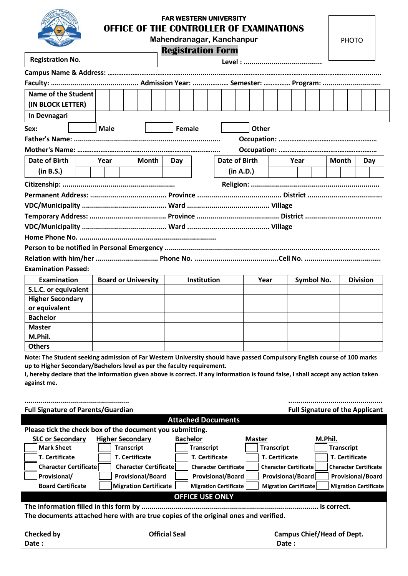## **FAR WESTERN UNIVERSITY OFFICE OF THE CONTROLLER OF EXAMINATIONS**

**Mahendranagar, Kanchanpur**

**Registration Form**

|                            |      |                            |  |              |        |             |  | <b>Registration Form</b> |              |                    |      |  |              |                 |  |     |  |  |
|----------------------------|------|----------------------------|--|--------------|--------|-------------|--|--------------------------|--------------|--------------------|------|--|--------------|-----------------|--|-----|--|--|
| <b>Registration No.</b>    |      |                            |  |              |        |             |  |                          |              |                    |      |  |              |                 |  |     |  |  |
|                            |      |                            |  |              |        |             |  |                          |              |                    |      |  |              |                 |  |     |  |  |
|                            |      |                            |  |              |        |             |  |                          |              |                    |      |  |              |                 |  |     |  |  |
| Name of the Student        |      |                            |  |              |        |             |  |                          |              |                    |      |  |              |                 |  |     |  |  |
| (IN BLOCK LETTER)          |      |                            |  |              |        |             |  |                          |              |                    |      |  |              |                 |  |     |  |  |
| In Devnagari               |      |                            |  |              |        |             |  |                          |              |                    |      |  |              |                 |  |     |  |  |
| Sex:                       |      | <b>Male</b>                |  |              | Female |             |  |                          | <b>Other</b> |                    |      |  |              |                 |  |     |  |  |
|                            |      |                            |  |              |        |             |  |                          |              |                    |      |  |              |                 |  |     |  |  |
|                            |      |                            |  |              |        |             |  |                          |              |                    |      |  |              |                 |  |     |  |  |
| Date of Birth              | Year |                            |  | <b>Month</b> | Day    |             |  | <b>Date of Birth</b>     |              |                    | Year |  | <b>Month</b> |                 |  | Day |  |  |
| (in B.S.)                  |      |                            |  |              |        |             |  | (in A.D.)                |              |                    |      |  |              |                 |  |     |  |  |
|                            |      |                            |  |              |        |             |  |                          |              |                    |      |  |              |                 |  |     |  |  |
|                            |      |                            |  |              |        |             |  |                          |              |                    |      |  |              |                 |  |     |  |  |
|                            |      |                            |  |              |        |             |  |                          |              |                    |      |  |              |                 |  |     |  |  |
|                            |      |                            |  |              |        |             |  |                          |              |                    |      |  |              |                 |  |     |  |  |
|                            |      |                            |  |              |        |             |  |                          |              |                    |      |  |              |                 |  |     |  |  |
|                            |      |                            |  |              |        |             |  |                          |              |                    |      |  |              |                 |  |     |  |  |
|                            |      |                            |  |              |        |             |  |                          |              |                    |      |  |              |                 |  |     |  |  |
|                            |      |                            |  |              |        |             |  |                          |              |                    |      |  |              |                 |  |     |  |  |
| <b>Examination Passed:</b> |      |                            |  |              |        |             |  |                          |              |                    |      |  |              |                 |  |     |  |  |
| <b>Examination</b>         |      | <b>Board or University</b> |  |              |        | Institution |  |                          |              | Symbol No.<br>Year |      |  |              | <b>Division</b> |  |     |  |  |
| S.L.C. or equivalent       |      |                            |  |              |        |             |  |                          |              |                    |      |  |              |                 |  |     |  |  |
| <b>Higher Secondary</b>    |      |                            |  |              |        |             |  |                          |              |                    |      |  |              |                 |  |     |  |  |
| or equivalent              |      |                            |  |              |        |             |  |                          |              |                    |      |  |              |                 |  |     |  |  |
| <b>Bachelor</b>            |      |                            |  |              |        |             |  |                          |              |                    |      |  |              |                 |  |     |  |  |
| <b>Master</b>              |      |                            |  |              |        |             |  |                          |              |                    |      |  |              |                 |  |     |  |  |
| M.Phil.                    |      |                            |  |              |        |             |  |                          |              |                    |      |  |              |                 |  |     |  |  |
| <b>Others</b>              |      |                            |  |              |        |             |  |                          |              |                    |      |  |              |                 |  |     |  |  |

**Note: The Student seeking admission of Far Western University should have passed Compulsory English course of 100 marks up to Higher Secondary/Bachelors level as per the faculty requirement.**

**I, hereby declare that the information given above is correct. If any information is found false, I shall accept any action taken against me.**

| <b>Full Signature of Parents/Guardian</b>                                           |                               | <b>Full Signature of the Applicant</b> |                              |                              |  |  |  |  |  |  |  |
|-------------------------------------------------------------------------------------|-------------------------------|----------------------------------------|------------------------------|------------------------------|--|--|--|--|--|--|--|
| <b>Attached Documents</b>                                                           |                               |                                        |                              |                              |  |  |  |  |  |  |  |
| Please tick the check box of the document you submitting.                           |                               |                                        |                              |                              |  |  |  |  |  |  |  |
| <b>SLC or Secondary</b>                                                             | <b>Higher Secondary</b>       | <b>Bachelor</b>                        | <b>Master</b>                | M.Phil.                      |  |  |  |  |  |  |  |
| <b>Mark Sheet</b>                                                                   | <b>Transcript</b>             | <b>Transcript</b>                      | <b>Transcript</b>            | <b>Transcript</b>            |  |  |  |  |  |  |  |
| <b>T. Certificate</b>                                                               | <b>T. Certificate</b>         | <b>T. Certificate</b>                  | <b>T.</b> Certificate        | <b>T. Certificate</b>        |  |  |  |  |  |  |  |
| <b>Character Certificate</b>                                                        | <b>Character Certificatel</b> | <b>Character Certificate</b>           | <b>Character Certificate</b> | <b>Character Certificate</b> |  |  |  |  |  |  |  |
| Provisional/                                                                        | <b>Provisional/Board</b>      | <b>Provisional/Board</b>               | <b>Provisional/Board</b>     | <b>Provisional/Board</b>     |  |  |  |  |  |  |  |
| <b>Board Certificate</b>                                                            | <b>Migration Certificate</b>  | <b>Migration Certificate</b>           | <b>Migration Certificate</b> | <b>Migration Certificate</b> |  |  |  |  |  |  |  |
| <b>OFFICE USE ONLY</b>                                                              |                               |                                        |                              |                              |  |  |  |  |  |  |  |
|                                                                                     |                               |                                        |                              |                              |  |  |  |  |  |  |  |
| The documents attached here with are true copies of the original ones and verified. |                               |                                        |                              |                              |  |  |  |  |  |  |  |
|                                                                                     |                               |                                        |                              |                              |  |  |  |  |  |  |  |
| <b>Checked by</b>                                                                   | <b>Official Seal</b>          | <b>Campus Chief/Head of Dept.</b>      |                              |                              |  |  |  |  |  |  |  |
| Date:                                                                               |                               |                                        | Date :                       |                              |  |  |  |  |  |  |  |
|                                                                                     |                               |                                        |                              |                              |  |  |  |  |  |  |  |